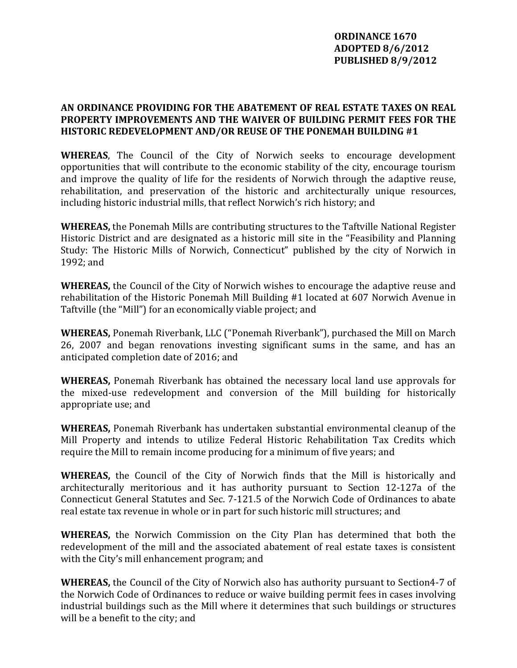## **ORDINANCE 1670 ADOPTED 8/6/2012 PUBLISHED 8/9/2012**

## **AN ORDINANCE PROVIDING FOR THE ABATEMENT OF REAL ESTATE TAXES ON REAL PROPERTY IMPROVEMENTS AND THE WAIVER OF BUILDING PERMIT FEES FOR THE HISTORIC R DEVELOPMENT E AND/OR REUSE OF THE PONEMAH BUILDING #1**

WHEREAS, The Council of the City of Norwich seeks to encourage development opportunities that will contribute to the economic stability of the city, encourage tourism and improve the quality of life for the residents of Norwich through the adaptive reuse, rehabilitation, and preservation of the historic and architecturally unique resources, including historic industrial mills, that reflect Norwich's rich history; and

**WHEREAS,** the Ponemah Mills are contributing structures to the Taftville National Register Historic District and are designated as a historic mill site in the "Feasibility and Planning Study: The Historic Mills of Norwich, Connecticut" published by the city of Norwich in 1992; and

**WHEREAS,** the Council of the City of Norwich wishes to encourage the adaptive reuse and rehabilitation of the Historic Ponemah Mill Building #1 located at 607 Norwich Avenue in Taftville (the "Mill") for an economically viable project; and

**WHEREAS,** Ponemah Riverbank, LLC ("Ponemah Riverbank"), purchased the Mill on March 26, 2007 and began renovations investing significant sums in the same, and has an anticipated completion date of 2016; and

**WHEREAS,** Ponemah Riverbank has obtained the necessary local land use approvals for the mixed-use redevelopment and conversion of the Mill building for historically appropriate use; and

**WHEREAS,** Ponemah Riverbank has undertaken substantial environmental cleanup of the Mill Property and intends to utilize Federal Historic Rehabilitation Tax Credits which require the Mill to remain income producing for a minimum of five years; and

**WHEREAS,** the Council of the City of Norwich finds that the Mill is historically and architecturally meritorious and it has authority pursuant to Section 12‐127a of the Connecticut General Statutes and Sec. 7-121.5 of the Norwich Code of Ordinances to abate real estate tax revenue in whole or in part for such historic mill structures; and

**WHEREAS,** the Norwich Commission on the City Plan has determined that both the redevelopment of the mill and the associated abatement of real estate taxes is consistent with the City's mill enhancement program; and

**WHEREAS,** the Council of the City of Norwich also has authority pursuant to Section4‐7 of the Norwich Code of Ordinances to reduce or waive building permit fees in cases involving ndustrial buildings such as the Mill where it determines that such buildings or structures i will be a benefit to the city; and